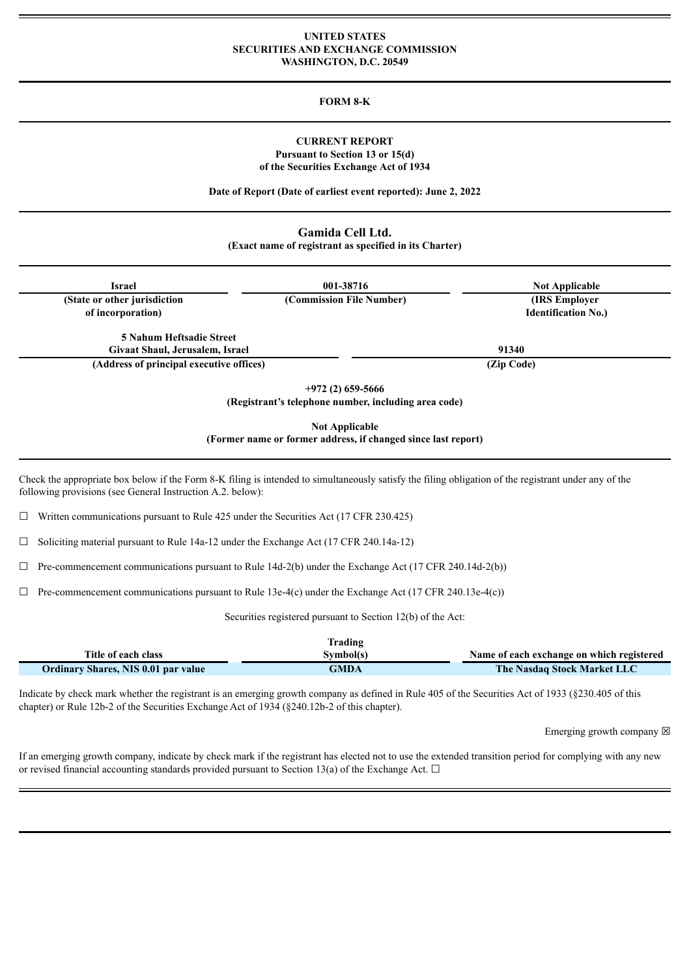### **UNITED STATES SECURITIES AND EXCHANGE COMMISSION WASHINGTON, D.C. 20549**

# **FORM 8-K**

# **CURRENT REPORT Pursuant to Section 13 or 15(d) of the Securities Exchange Act of 1934**

**Date of Report (Date of earliest event reported): June 2, 2022**

# **Gamida Cell Ltd.**

**(Exact name of registrant as specified in its Charter)**

| <b>Israel</b>                                                                                                                                                                                                       | 001-38716                                                                              | <b>Not Applicable</b>                               |
|---------------------------------------------------------------------------------------------------------------------------------------------------------------------------------------------------------------------|----------------------------------------------------------------------------------------|-----------------------------------------------------|
| (State or other jurisdiction<br>of incorporation)                                                                                                                                                                   | (Commission File Number)                                                               | <b>(IRS Employer)</b><br><b>Identification No.)</b> |
| <b>5 Nahum Heftsadie Street</b><br>Givaat Shaul, Jerusalem, Israel<br>(Address of principal executive offices)                                                                                                      |                                                                                        | 91340<br>(Zip Code)                                 |
|                                                                                                                                                                                                                     | $+972(2)$ 659-5666<br>(Registrant's telephone number, including area code)             |                                                     |
|                                                                                                                                                                                                                     | <b>Not Applicable</b><br>(Former name or former address, if changed since last report) |                                                     |
| Check the appropriate box below if the Form 8-K filing is intended to simultaneously satisfy the filing obligation of the registrant under any of the<br>following provisions (see General Instruction A.2. below): |                                                                                        |                                                     |
| Written communications pursuant to Rule 425 under the Securities Act (17 CFR 230.425)<br>$\Box$                                                                                                                     |                                                                                        |                                                     |
| Soliciting material pursuant to Rule 14a-12 under the Exchange Act (17 CFR 240.14a-12)<br>⊔                                                                                                                         |                                                                                        |                                                     |
| Pre-commencement communications pursuant to Rule 14d-2(b) under the Exchange Act (17 CFR 240.14d-2(b))<br>⊔                                                                                                         |                                                                                        |                                                     |
| Pre-commencement communications pursuant to Rule 13e-4(c) under the Exchange Act (17 CFR 240.13e-4(c))                                                                                                              |                                                                                        |                                                     |
|                                                                                                                                                                                                                     |                                                                                        |                                                     |

|                                            | Trading     |                                           |
|--------------------------------------------|-------------|-------------------------------------------|
| Title of each class                        | Svmbol(s)   | Name of each exchange on which registered |
| <b>Ordinary Shares, NIS 0.01 par value</b> | <b>GMDA</b> | <b>The Nasdaq Stock Market LLC</b>        |

Indicate by check mark whether the registrant is an emerging growth company as defined in Rule 405 of the Securities Act of 1933 (§230.405 of this chapter) or Rule 12b-2 of the Securities Exchange Act of 1934 (§240.12b-2 of this chapter).

Emerging growth company  $\boxtimes$ 

If an emerging growth company, indicate by check mark if the registrant has elected not to use the extended transition period for complying with any new or revised financial accounting standards provided pursuant to Section 13(a) of the Exchange Act.  $\Box$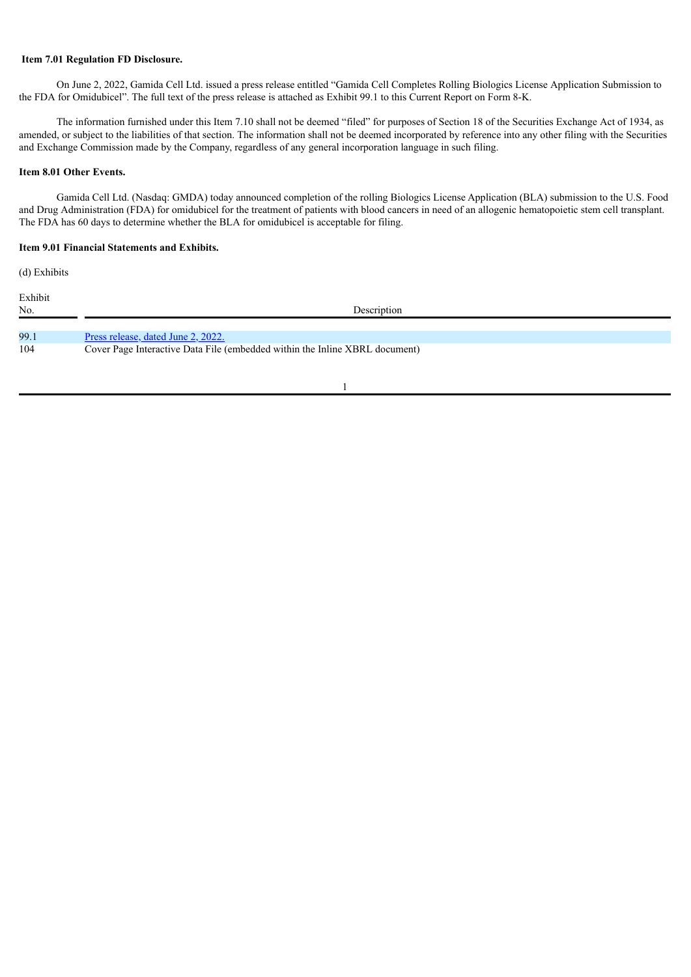# **Item 7.01 Regulation FD Disclosure.**

On June 2, 2022, Gamida Cell Ltd. issued a press release entitled "Gamida Cell Completes Rolling Biologics License Application Submission to the FDA for Omidubicel". The full text of the press release is attached as Exhibit 99.1 to this Current Report on Form 8-K.

The information furnished under this Item 7.10 shall not be deemed "filed" for purposes of Section 18 of the Securities Exchange Act of 1934, as amended, or subject to the liabilities of that section. The information shall not be deemed incorporated by reference into any other filing with the Securities and Exchange Commission made by the Company, regardless of any general incorporation language in such filing.

### **Item 8.01 Other Events.**

Gamida Cell Ltd. (Nasdaq: GMDA) today announced completion of the rolling Biologics License Application (BLA) submission to the U.S. Food and Drug Administration (FDA) for omidubicel for the treatment of patients with blood cancers in need of an allogenic hematopoietic stem cell transplant. The FDA has 60 days to determine whether the BLA for omidubicel is acceptable for filing.

### **Item 9.01 Financial Statements and Exhibits.**

(d) Exhibits

| Exhibit<br>No. | Description                                                                 |  |
|----------------|-----------------------------------------------------------------------------|--|
| 99.1           | Press release, dated June 2, 2022.                                          |  |
| 104            | Cover Page Interactive Data File (embedded within the Inline XBRL document) |  |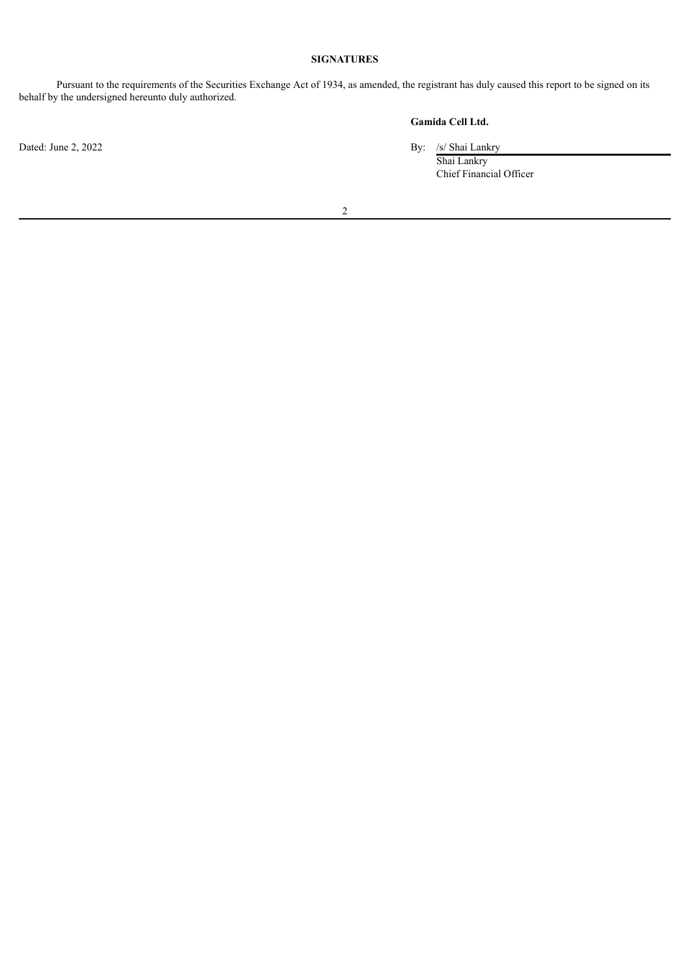# **SIGNATURES**

Pursuant to the requirements of the Securities Exchange Act of 1934, as amended, the registrant has duly caused this report to be signed on its behalf by the undersigned hereunto duly authorized.

**Gamida Cell Ltd.**

Dated: June 2, 2022 By: /s/ Shai Lankry

Shai Lankry Chief Financial Officer

2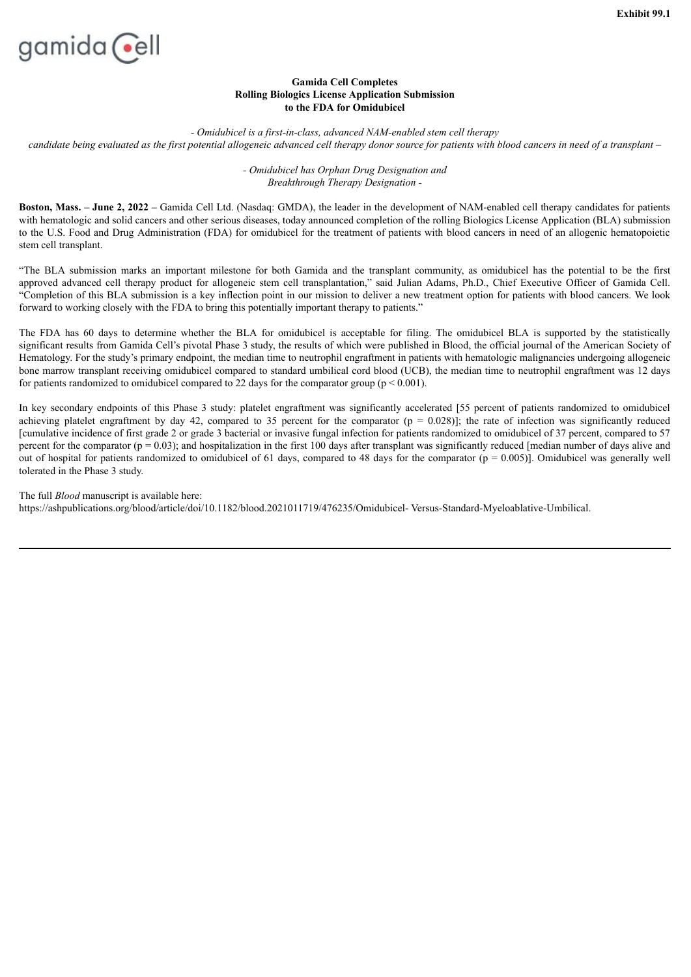<span id="page-3-0"></span>

# **Gamida Cell Completes Rolling Biologics License Application Submission to the FDA for Omidubicel**

*- Omidubicel is a first-in-class, advanced NAM-enabled stem cell therapy* candidate being evaluated as the first potential allogeneic advanced cell therapy donor source for patients with blood cancers in need of a transplant -

> *- Omidubicel has Orphan Drug Designation and Breakthrough Therapy Designation -*

**Boston, Mass. – June 2, 2022 –** Gamida Cell Ltd. (Nasdaq: GMDA), the leader in the development of NAM-enabled cell therapy candidates for patients with hematologic and solid cancers and other serious diseases, today announced completion of the rolling Biologics License Application (BLA) submission to the U.S. Food and Drug Administration (FDA) for omidubicel for the treatment of patients with blood cancers in need of an allogenic hematopoietic stem cell transplant.

"The BLA submission marks an important milestone for both Gamida and the transplant community, as omidubicel has the potential to be the first approved advanced cell therapy product for allogeneic stem cell transplantation," said Julian Adams, Ph.D., Chief Executive Officer of Gamida Cell. "Completion of this BLA submission is a key inflection point in our mission to deliver a new treatment option for patients with blood cancers. We look forward to working closely with the FDA to bring this potentially important therapy to patients."

The FDA has 60 days to determine whether the BLA for omidubicel is acceptable for filing. The omidubicel BLA is supported by the statistically significant results from Gamida Cell's pivotal Phase 3 study, the results of which were published in Blood, the official journal of the American Society of Hematology. For the study's primary endpoint, the median time to neutrophil engraftment in patients with hematologic malignancies undergoing allogeneic bone marrow transplant receiving omidubicel compared to standard umbilical cord blood (UCB), the median time to neutrophil engraftment was 12 days for patients randomized to omidubicel compared to 22 days for the comparator group ( $p < 0.001$ ).

In key secondary endpoints of this Phase 3 study: platelet engraftment was significantly accelerated [55 percent of patients randomized to omidubicel achieving platelet engraftment by day 42, compared to 35 percent for the comparator ( $p = 0.028$ )]; the rate of infection was significantly reduced [cumulative incidence of first grade 2 or grade 3 bacterial or invasive fungal infection for patients randomized to omidubicel of 37 percent, compared to 57 percent for the comparator  $(p = 0.03)$ ; and hospitalization in the first 100 days after transplant was significantly reduced [median number of days alive and out of hospital for patients randomized to omidubicel of 61 days, compared to 48 days for the comparator ( $p = 0.005$ )]. Omidubicel was generally well tolerated in the Phase 3 study.

The full *Blood* manuscript is available here: https://ashpublications.org/blood/article/doi/10.1182/blood.2021011719/476235/Omidubicel- Versus-Standard-Myeloablative-Umbilical.